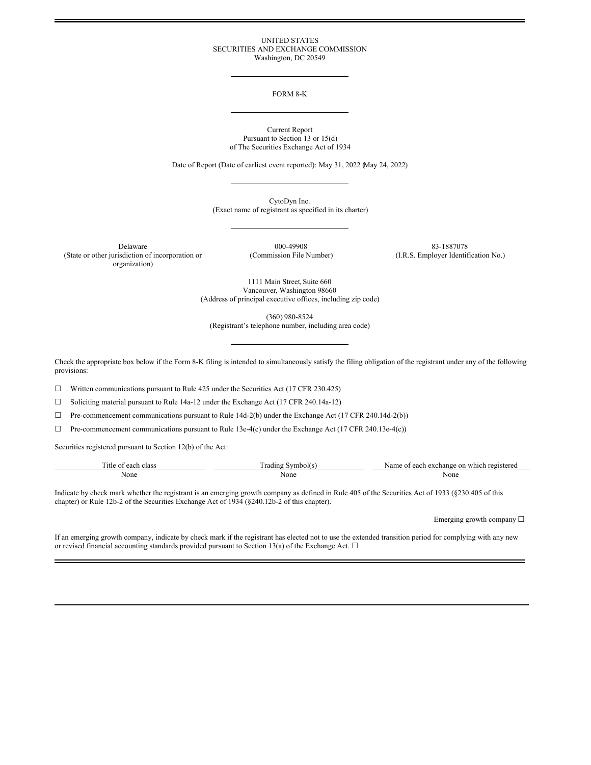### UNITED STATES SECURITIES AND EXCHANGE COMMISSION Washington, DC 20549

## FORM 8-K

#### Current Report Pursuant to Section 13 or 15(d) of The Securities Exchange Act of 1934

Date of Report (Date of earliest event reported): May 31, 2022 (May 24, 2022)

CytoDyn Inc. (Exact name of registrant as specified in its charter)

Delaware 000-49908 83-1887078 (State or other jurisdiction of incorporation or organization)

(Commission File Number) (I.R.S. Employer Identification No.)

1111 Main Street, Suite 660 Vancouver, Washington 98660 (Address of principal executive offices, including zip code)

(360) 980-8524

(Registrant's telephone number, including area code)

Check the appropriate box below if the Form 8-K filing is intended to simultaneously satisfy the filing obligation of the registrant under any of the following provisions:

 $\Box$  Written communications pursuant to Rule 425 under the Securities Act (17 CFR 230.425)

☐ Soliciting material pursuant to Rule 14a-12 under the Exchange Act (17 CFR 240.14a-12)

☐ Pre-commencement communications pursuant to Rule 14d-2(b) under the Exchange Act (17 CFR 240.14d-2(b))

☐ Pre-commencement communications pursuant to Rule 13e-4(c) under the Exchange Act (17 CFR 240.13e-4(c))

Securities registered pursuant to Section 12(b) of the Act:

| $\sim$<br>`itle<br>anok<br>class<br>വ<br>cac | vmbolts<br>rading | `stered<br>∴vame<br>change<br>$r \alpha$ $\alpha$<br>whio<br>or<br>⇒ob⊾<br>each<br>$\Delta V$<br>. |
|----------------------------------------------|-------------------|----------------------------------------------------------------------------------------------------|
| None                                         | None              | None                                                                                               |
|                                              | .                 |                                                                                                    |

Indicate by check mark whether the registrant is an emerging growth company as defined in Rule 405 of the Securities Act of 1933 (§230.405 of this chapter) or Rule 12b-2 of the Securities Exchange Act of 1934 (§240.12b-2 of this chapter).

Emerging growth company  $\Box$ 

If an emerging growth company, indicate by check mark if the registrant has elected not to use the extended transition period for complying with any new or revised financial accounting standards provided pursuant to Section 13(a) of the Exchange Act.  $\Box$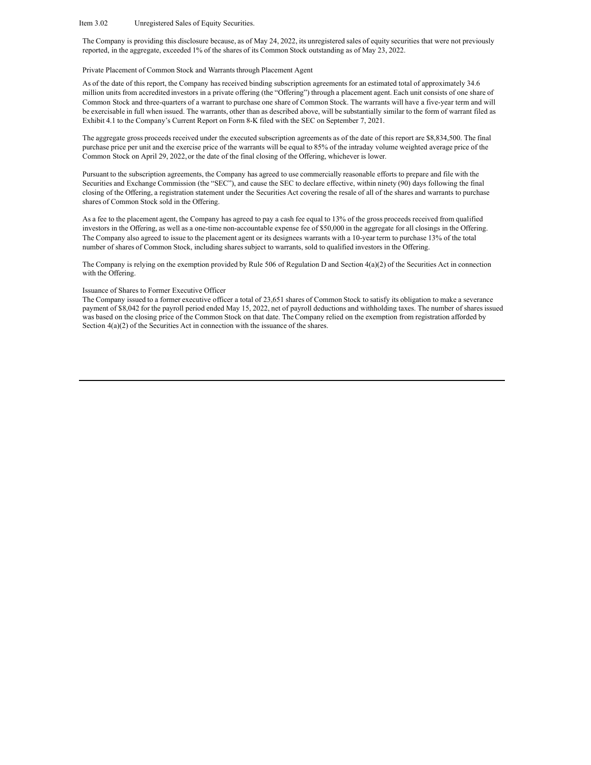#### Item 3.02 Unregistered Sales of Equity Securities.

The Company is providing this disclosure because, as of May 24, 2022, its unregistered sales of equity securities that were not previously reported, in the aggregate, exceeded 1% of the shares of its Common Stock outstanding as of May 23, 2022.

### Private Placement of Common Stock and Warrants through Placement Agent

As of the date of this report, the Company has received binding subscription agreements for an estimated total of approximately 34.6 million units from accredited investors in a private offering (the "Offering") through a placement agent. Each unit consists of one share of Common Stock and three-quarters of a warrant to purchase one share of Common Stock. The warrants will have a five-year term and will be exercisable in full when issued. The warrants, other than as described above, will be substantially similar to the form of warrant filed as Exhibit 4.1 to the Company's Current Report on Form 8-K filed with the SEC on September 7, 2021.

The aggregate gross proceeds received under the executed subscription agreements as of the date of this report are \$8,834,500. The final purchase price per unit and the exercise price of the warrants will be equal to 85% of the intraday volume weighted average price of the Common Stock on April 29, 2022, or the date of the final closing of the Offering, whichever is lower.

Pursuant to the subscription agreements, the Company has agreed to use commercially reasonable efforts to prepare and file with the Securities and Exchange Commission (the "SEC"), and cause the SEC to declare effective, within ninety (90) days following the final closing of the Offering, a registration statement under the Securities Act covering the resale of all of the shares and warrants to purchase shares of Common Stock sold in the Offering.

As a fee to the placement agent, the Company has agreed to pay a cash fee equal to 13% of the gross proceeds received from qualified investors in the Offering, as well as a one-time non-accountable expense fee of \$50,000 in the aggregate for all closings in the Offering. The Company also agreed to issue to the placement agent or its designees warrants with a 10-year term to purchase 13% of the total number of shares of Common Stock, including shares subject to warrants, sold to qualified investors in the Offering.

The Company is relying on the exemption provided by Rule 506 of Regulation D and Section 4(a)(2) of the Securities Act in connection with the Offering.

#### Issuance of Shares to Former Executive Officer

The Company issued to a former executive officer a total of 23,651 shares of Common Stock to satisfy its obligation to make a severance payment of \$8,042 for the payroll period ended May 15, 2022, net of payroll deductions and withholding taxes. The number of shares issued was based on the closing price of the Common Stock on that date. TheCompany relied on the exemption from registration afforded by Section  $4(a)(2)$  of the Securities Act in connection with the issuance of the shares.